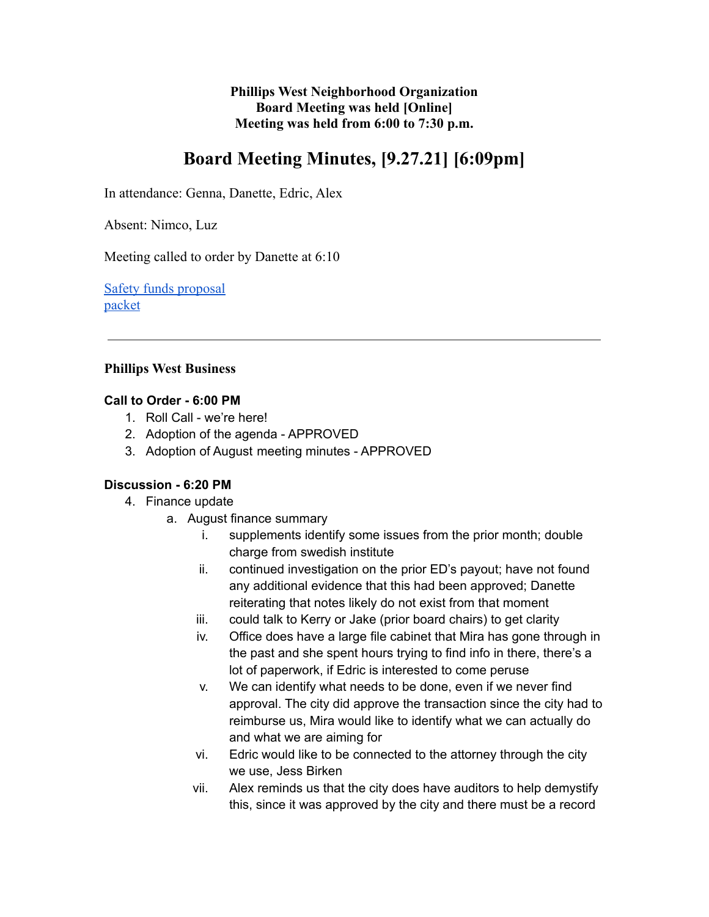**Phillips West Neighborhood Organization Board Meeting was held [Online] Meeting was held from 6:00 to 7:30 p.m.**

# **Board Meeting Minutes, [9.27.21] [6:09pm]**

In attendance: Genna, Danette, Edric, Alex

Absent: Nimco, Luz

Meeting called to order by Danette at 6:10

[Safety funds proposal](https://docs.google.com/spreadsheets/d/1snhATAPubFgZMKs9WR30wOMWy9f_eO0FyKWnAIN2kms/edit?usp=sharing) [packet](https://docs.google.com/document/d/1K5-wB7_iwXUYV0_-Rjc9BwUMg5uK8G1yzwKYQeuIwWk/edit)

## **Phillips West Business**

#### **Call to Order - 6:00 PM**

- 1. Roll Call we're here!
- 2. Adoption of the agenda APPROVED
- 3. Adoption of August meeting minutes APPROVED

## **Discussion - 6:20 PM**

- 4. Finance update
	- a. August finance summary
		- i. supplements identify some issues from the prior month; double charge from swedish institute
		- ii. continued investigation on the prior ED's payout; have not found any additional evidence that this had been approved; Danette reiterating that notes likely do not exist from that moment
		- iii. could talk to Kerry or Jake (prior board chairs) to get clarity
		- iv. Office does have a large file cabinet that Mira has gone through in the past and she spent hours trying to find info in there, there's a lot of paperwork, if Edric is interested to come peruse
		- v. We can identify what needs to be done, even if we never find approval. The city did approve the transaction since the city had to reimburse us, Mira would like to identify what we can actually do and what we are aiming for
		- vi. Edric would like to be connected to the attorney through the city we use, Jess Birken
		- vii. Alex reminds us that the city does have auditors to help demystify this, since it was approved by the city and there must be a record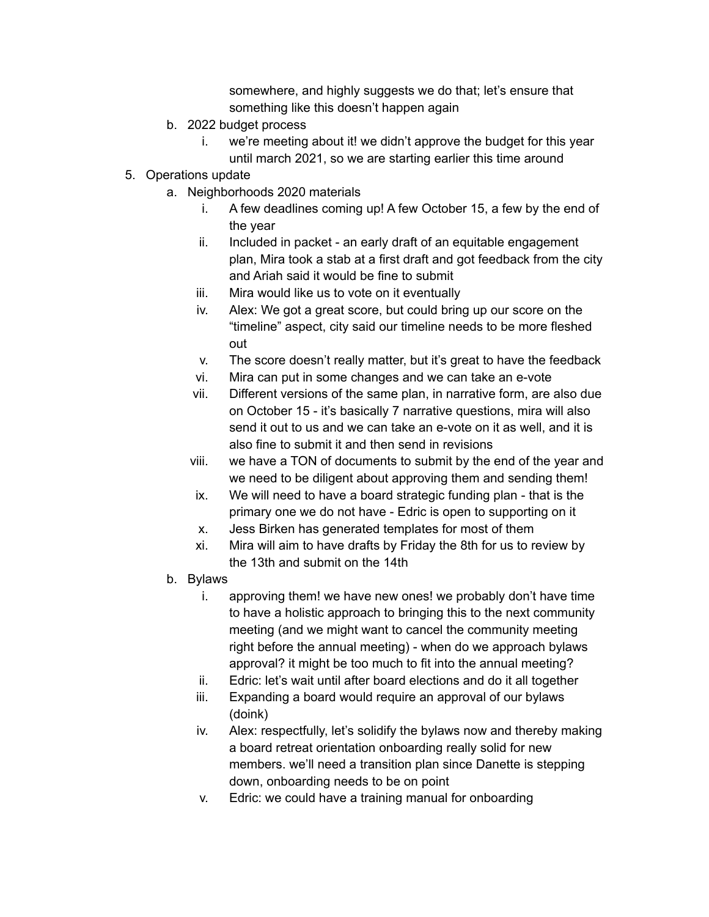somewhere, and highly suggests we do that; let's ensure that something like this doesn't happen again

- b. 2022 budget process
	- i. we're meeting about it! we didn't approve the budget for this year until march 2021, so we are starting earlier this time around
- 5. Operations update
	- a. Neighborhoods 2020 materials
		- i. A few deadlines coming up! A few October 15, a few by the end of the year
		- ii. Included in packet an early draft of an equitable engagement plan, Mira took a stab at a first draft and got feedback from the city and Ariah said it would be fine to submit
		- iii. Mira would like us to vote on it eventually
		- iv. Alex: We got a great score, but could bring up our score on the "timeline" aspect, city said our timeline needs to be more fleshed out
		- v. The score doesn't really matter, but it's great to have the feedback
		- vi. Mira can put in some changes and we can take an e-vote
		- vii. Different versions of the same plan, in narrative form, are also due on October 15 - it's basically 7 narrative questions, mira will also send it out to us and we can take an e-vote on it as well, and it is also fine to submit it and then send in revisions
		- viii. we have a TON of documents to submit by the end of the year and we need to be diligent about approving them and sending them!
		- ix. We will need to have a board strategic funding plan that is the primary one we do not have - Edric is open to supporting on it
		- x. Jess Birken has generated templates for most of them
		- xi. Mira will aim to have drafts by Friday the 8th for us to review by the 13th and submit on the 14th
	- b. Bylaws
		- i. approving them! we have new ones! we probably don't have time to have a holistic approach to bringing this to the next community meeting (and we might want to cancel the community meeting right before the annual meeting) - when do we approach bylaws approval? it might be too much to fit into the annual meeting?
		- ii. Edric: let's wait until after board elections and do it all together
		- iii. Expanding a board would require an approval of our bylaws (doink)
		- iv. Alex: respectfully, let's solidify the bylaws now and thereby making a board retreat orientation onboarding really solid for new members. we'll need a transition plan since Danette is stepping down, onboarding needs to be on point
		- v. Edric: we could have a training manual for onboarding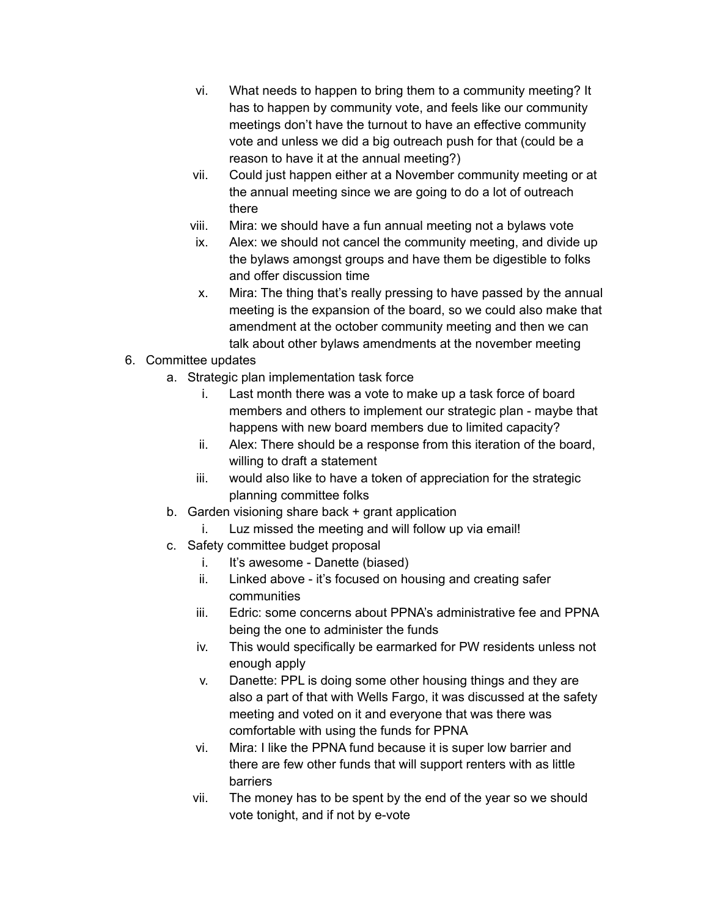- vi. What needs to happen to bring them to a community meeting? It has to happen by community vote, and feels like our community meetings don't have the turnout to have an effective community vote and unless we did a big outreach push for that (could be a reason to have it at the annual meeting?)
- vii. Could just happen either at a November community meeting or at the annual meeting since we are going to do a lot of outreach there
- viii. Mira: we should have a fun annual meeting not a bylaws vote
- ix. Alex: we should not cancel the community meeting, and divide up the bylaws amongst groups and have them be digestible to folks and offer discussion time
- x. Mira: The thing that's really pressing to have passed by the annual meeting is the expansion of the board, so we could also make that amendment at the october community meeting and then we can talk about other bylaws amendments at the november meeting
- 6. Committee updates
	- a. Strategic plan implementation task force
		- i. Last month there was a vote to make up a task force of board members and others to implement our strategic plan - maybe that happens with new board members due to limited capacity?
		- ii. Alex: There should be a response from this iteration of the board, willing to draft a statement
		- iii. would also like to have a token of appreciation for the strategic planning committee folks
	- b. Garden visioning share back + grant application
		- i. Luz missed the meeting and will follow up via email!
	- c. Safety committee budget proposal
		- i. It's awesome Danette (biased)
		- ii. Linked above it's focused on housing and creating safer communities
		- iii. Edric: some concerns about PPNA's administrative fee and PPNA being the one to administer the funds
		- iv. This would specifically be earmarked for PW residents unless not enough apply
		- v. Danette: PPL is doing some other housing things and they are also a part of that with Wells Fargo, it was discussed at the safety meeting and voted on it and everyone that was there was comfortable with using the funds for PPNA
		- vi. Mira: I like the PPNA fund because it is super low barrier and there are few other funds that will support renters with as little barriers
		- vii. The money has to be spent by the end of the year so we should vote tonight, and if not by e-vote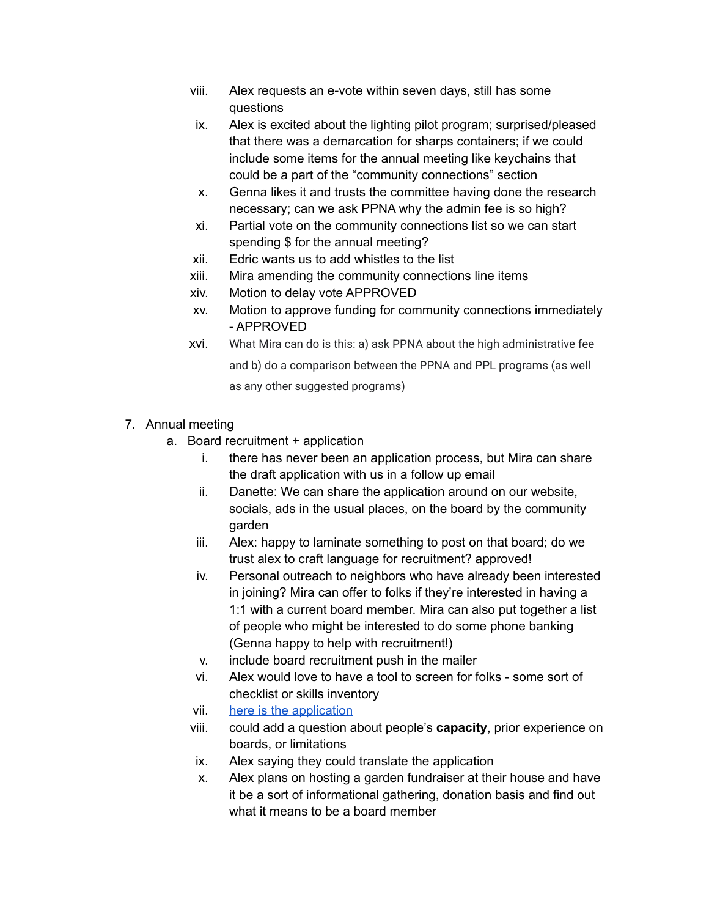- viii. Alex requests an e-vote within seven days, still has some questions
- ix. Alex is excited about the lighting pilot program; surprised/pleased that there was a demarcation for sharps containers; if we could include some items for the annual meeting like keychains that could be a part of the "community connections" section
- x. Genna likes it and trusts the committee having done the research necessary; can we ask PPNA why the admin fee is so high?
- xi. Partial vote on the community connections list so we can start spending \$ for the annual meeting?
- xii. Edric wants us to add whistles to the list
- xiii. Mira amending the community connections line items
- xiv. Motion to delay vote APPROVED
- xv. Motion to approve funding for community connections immediately - APPROVED
- xvi. What Mira can do is this: a) ask PPNA about the high administrative fee and b) do a comparison between the PPNA and PPL programs (as well as any other suggested programs)
- 7. Annual meeting
	- a. Board recruitment + application
		- i. there has never been an application process, but Mira can share the draft application with us in a follow up email
		- ii. Danette: We can share the application around on our website, socials, ads in the usual places, on the board by the community garden
		- iii. Alex: happy to laminate something to post on that board; do we trust alex to craft language for recruitment? approved!
		- iv. Personal outreach to neighbors who have already been interested in joining? Mira can offer to folks if they're interested in having a 1:1 with a current board member. Mira can also put together a list of people who might be interested to do some phone banking (Genna happy to help with recruitment!)
		- v. include board recruitment push in the mailer
		- vi. Alex would love to have a tool to screen for folks some sort of checklist or skills inventory
		- vii. here is the [application](https://docs.google.com/forms/d/18djIFW6tBiBfMTgq6KtFWr-nAcq6ollkvz_9toTU8RI/edit)
		- viii. could add a question about people's **capacity**, prior experience on boards, or limitations
		- ix. Alex saying they could translate the application
		- x. Alex plans on hosting a garden fundraiser at their house and have it be a sort of informational gathering, donation basis and find out what it means to be a board member